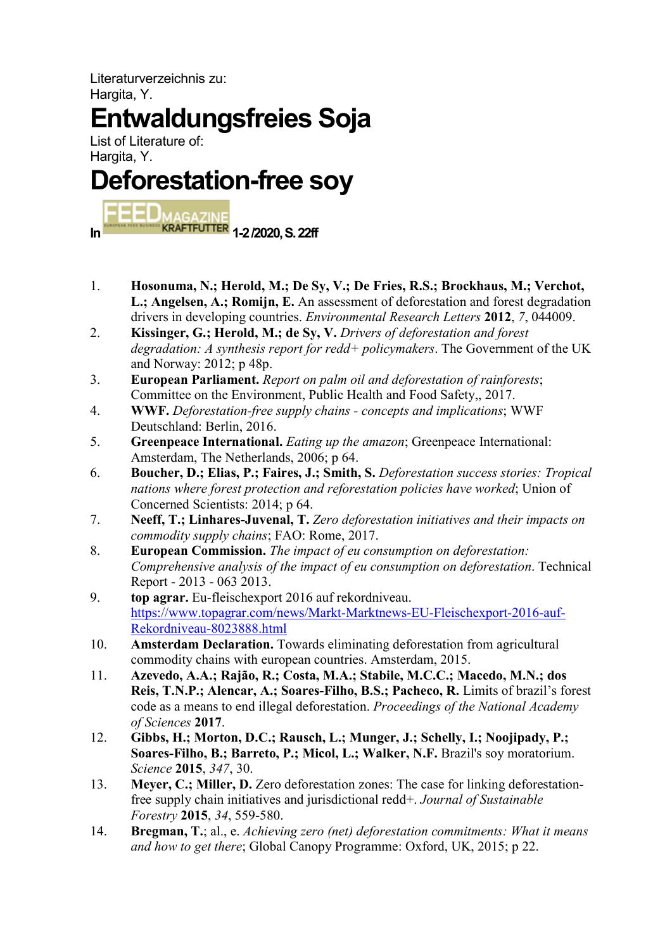Literaturverzeichnis zu: Hargita, Y.

## Entwaldungsfreies Soja

List of Literature of: Hargita, Y.

## Deforestation-free soy

In **1-2 /2020, S. 22ff** 

- 1. Hosonuma, N.; Herold, M.; De Sy, V.; De Fries, R.S.; Brockhaus, M.; Verchot, L.; Angelsen, A.; Romijn, E. An assessment of deforestation and forest degradation drivers in developing countries. Environmental Research Letters 2012, 7, 044009.
- 2. Kissinger, G.; Herold, M.; de Sy, V. Drivers of deforestation and forest degradation: A synthesis report for redd+ policymakers. The Government of the UK and Norway: 2012; p 48p.
- 3. European Parliament. Report on palm oil and deforestation of rainforests; Committee on the Environment, Public Health and Food Safety,, 2017.
- 4. WWF. Deforestation-free supply chains concepts and implications; WWF Deutschland: Berlin, 2016.
- 5. Greenpeace International. Eating up the amazon; Greenpeace International: Amsterdam, The Netherlands, 2006; p 64.
- 6. Boucher, D.; Elias, P.; Faires, J.; Smith, S. Deforestation success stories: Tropical nations where forest protection and reforestation policies have worked; Union of Concerned Scientists: 2014; p 64.
- 7. Neeff, T.; Linhares-Juvenal, T. Zero deforestation initiatives and their impacts on commodity supply chains; FAO: Rome, 2017.
- 8. European Commission. The impact of eu consumption on deforestation: Comprehensive analysis of the impact of eu consumption on deforestation. Technical Report - 2013 - 063 2013.
- 9. top agrar. Eu-fleischexport 2016 auf rekordniveau. https://www.topagrar.com/news/Markt-Marktnews-EU-Fleischexport-2016-auf-Rekordniveau-8023888.html
- 10. Amsterdam Declaration. Towards eliminating deforestation from agricultural commodity chains with european countries. Amsterdam, 2015.
- 11. Azevedo, A.A.; Rajão, R.; Costa, M.A.; Stabile, M.C.C.; Macedo, M.N.; dos Reis, T.N.P.; Alencar, A.; Soares-Filho, B.S.; Pacheco, R. Limits of brazil's forest code as a means to end illegal deforestation. Proceedings of the National Academy of Sciences 2017.
- 12. Gibbs, H.; Morton, D.C.; Rausch, L.; Munger, J.; Schelly, I.; Noojipady, P.; Soares-Filho, B.; Barreto, P.; Micol, L.; Walker, N.F. Brazil's soy moratorium. Science 2015, 347, 30.
- 13. Meyer, C.; Miller, D. Zero deforestation zones: The case for linking deforestationfree supply chain initiatives and jurisdictional redd+. Journal of Sustainable Forestry 2015, 34, 559-580.
- 14. Bregman, T.; al., e. Achieving zero (net) deforestation commitments: What it means and how to get there; Global Canopy Programme: Oxford, UK, 2015; p 22.